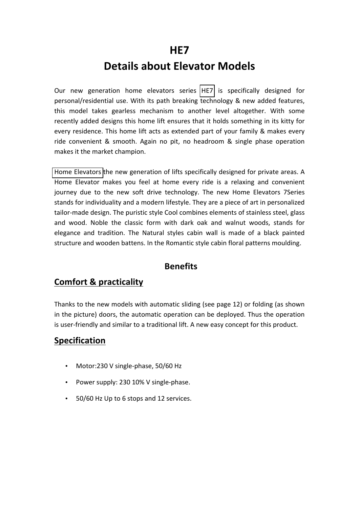## **HE7**

# **Details about Elevator Models**

Our new generation home elevators series HE7 is specifically designed for personal/residential use. With its path breaking technology & new added features, this model takes gearless mechanism to another level altogether. With some recently added designs this home lift ensures that it holds something in its kitty for every residence. This home lift acts as extended part of your family & makes every ride convenient & smooth. Again no pit, no headroom & single phase operation makes it the market champion.

Home Elevators the new generation of lifts specifically designed for private areas. A Home Elevator makes you feel at home every ride is a relaxing and convenient journey due to the new soft drive technology. The new Home Elevators 7Series stands for individuality and a modern lifestyle. They are a piece of art in personalized tailor-made design. The puristic style Cool combines elements of stainless steel, glass and wood. Noble the classic form with dark oak and walnut woods, stands for elegance and tradition. The Natural styles cabin wall is made of a black painted structure and wooden battens. In the Romantic style cabin floral patterns moulding.

#### **Benefits**

### **Comfort & practicality**

Thanks to the new models with automatic sliding (see page 12) or folding (as shown in the picture) doors, the automatic operation can be deployed. Thus the operation is user-friendly and similar to a traditional lift. A new easy concept for this product.

#### **Specification**

- Motor:230 V single-phase, 50/60 Hz
- Power supply: 230 10% V single-phase.
- 50/60 Hz Up to 6 stops and 12 services.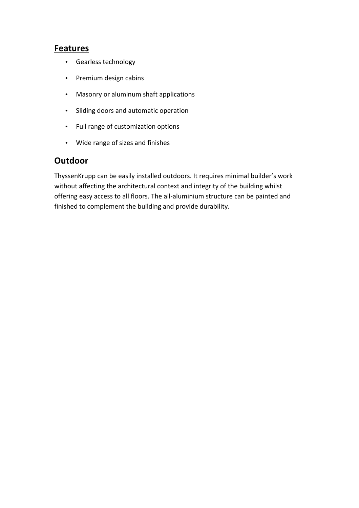#### **Features**

- Gearless technology
- Premium design cabins
- Masonry or aluminum shaft applications
- Sliding doors and automatic operation
- Full range of customization options
- Wide range of sizes and finishes

#### **Outdoor**

ThyssenKrupp can be easily installed outdoors. It requires minimal builder's work without affecting the architectural context and integrity of the building whilst offering easy access to all floors. The all-aluminium structure can be painted and finished to complement the building and provide durability.